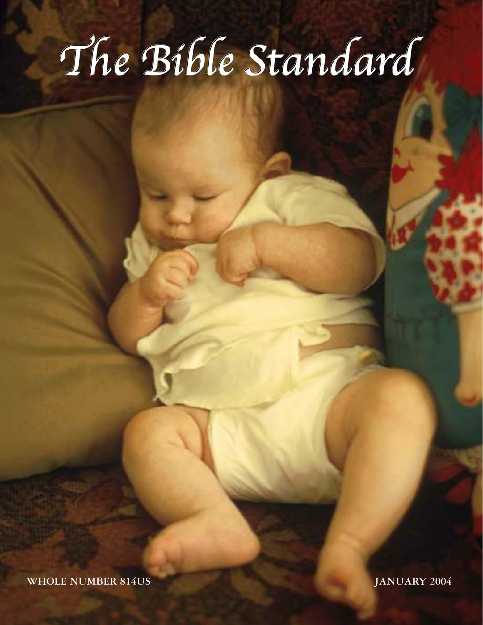# The Bible Standard

**WHOLE NUMBER 814US JANUARY 2004**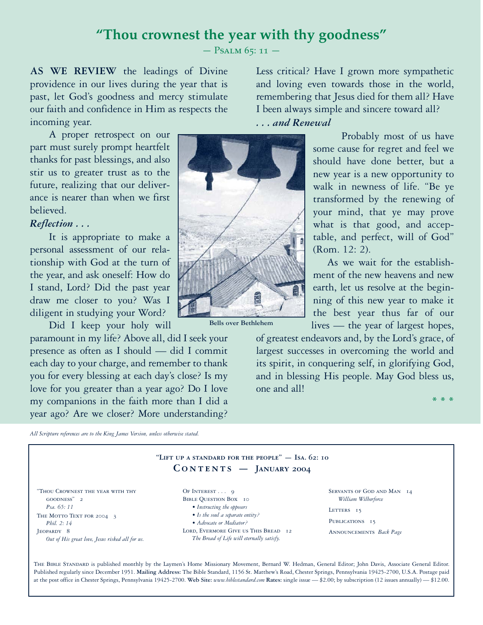# **"Thou crownest the year with thy goodness"**

PSALM 65: 11 -

**AS WE REVIEW** the leadings of Divine providence in our lives during the year that is past, let God's goodness and mercy stimulate our faith and confidence in Him as respects the incoming year.

A proper retrospect on our part must surely prompt heartfelt thanks for past blessings, and also stir us to greater trust as to the future, realizing that our deliverance is nearer than when we first believed.

# *Reflection . . .*

It is appropriate to make a personal assessment of our relationship with God at the turn of the year, and ask oneself: How do I stand, Lord? Did the past year draw me closer to you? Was I diligent in studying your Word?

Did I keep your holy will

paramount in my life? Above all, did I seek your presence as often as I should — did I commit each day to your charge, and remember to thank you for every blessing at each day's close? Is my love for you greater than a year ago? Do I love my companions in the faith more than I did a year ago? Are we closer? More understanding?



**Bells over Bethlehem**

Less critical? Have I grown more sympathetic and loving even towards those in the world, remembering that Jesus died for them all? Have I been always simple and sincere toward all?

# *... and Renewal*

Probably most of us have some cause for regret and feel we should have done better, but a new year is a new opportunity to walk in newness of life. "Be ye transformed by the renewing of your mind, that ye may prove what is that good, and acceptable, and perfect, will of God" (Rom. 12: 2).

As we wait for the establishment of the new heavens and new earth, let us resolve at the beginning of this new year to make it the best year thus far of our lives — the year of largest hopes,

**\*\*\***

of greatest endeavors and, by the Lord's grace, of largest successes in overcoming the world and its spirit, in conquering self, in glorifying God, and in blessing His people. May God bless us, one and all!

*All Scripture references are to the King James Version, unless otherwise stated.*

| "LIFT UP A STANDARD FOR THE PEOPLE" $-$ ISA, 62: 10<br>$CONTENTS$ - JANUARY 2004 |                                                                                   |                                                   |  |  |
|----------------------------------------------------------------------------------|-----------------------------------------------------------------------------------|---------------------------------------------------|--|--|
| "THOU CROWNEST THE YEAR WITH THY<br>GOODNESS" 2                                  | OF INTEREST $\ldots$ 9<br><b>BIBLE QUESTION BOX 10</b>                            | SERVANTS OF GOD AND MAN 14<br>William Wilberforce |  |  |
| Psa. 65: 11                                                                      | • Instructing the opposers<br>• Is the soul a separate entity?                    | LETTERS 15                                        |  |  |
| THE MOTTO TEXT FOR 2004 3<br><i>Phil. 2: 14</i>                                  | • Advocate or Mediator?                                                           | PUBLICATIONS 15                                   |  |  |
| JEOPARDY 8<br>Out of His great love, Jesus risked all for us.                    | LORD, EVERMORE GIVE US THIS BREAD 12<br>The Bread of Life will eternally satisfy. | ANNOUNCEMENTS Back Page                           |  |  |

The Bible Standard is published monthly by the Laymen's Home Missionary Movement, Bernard W. Hedman, General Editor; John Davis, Associate General Editor. Published regularly since December 1951. **Mailing Address:** The Bible Standard, 1156 St. Matthew's Road, Chester Springs, Pennsylvania 19425-2700, U.S.A. Postage paid at the post office in Chester Springs, Pennsylvania 19425-2700. **Web Site:** *www.biblestandard.com* **Rates:** single issue — \$2.00; by subscription (12 issues annually) — \$12.00.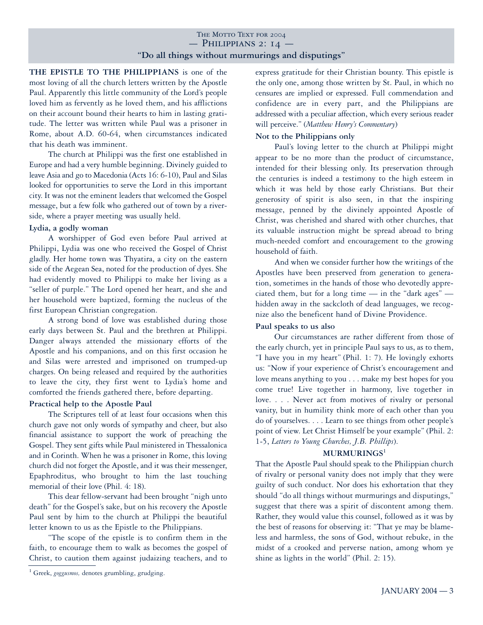# THE MOTTO TEXT FOR 2004  $-$  Philippians 2: 14  $-$ **"Do all things without murmurings and disputings"**

**THE EPISTLE TO THE PHILIPPIANS** is one of the most loving of all the church letters written by the Apostle Paul. Apparently this little community of the Lord's people loved him as fervently as he loved them, and his afflictions on their account bound their hearts to him in lasting gratitude. The letter was written while Paul was a prisoner in Rome, about A.D. 60-64, when circumstances indicated that his death was imminent.

The church at Philippi was the first one established in Europe and had a very humble beginning. Divinely guided to leave Asia and go to Macedonia (Acts 16: 6-10), Paul and Silas looked for opportunities to serve the Lord in this important city. It was not the eminent leaders that welcomed the Gospel message, but a few folk who gathered out of town by a riverside, where a prayer meeting was usually held.

### **Lydia, a godly woman**

A worshipper of God even before Paul arrived at Philippi, Lydia was one who received the Gospel of Christ gladly. Her home town was Thyatira, a city on the eastern side of the Aegean Sea, noted for the production of dyes. She had evidently moved to Philippi to make her living as a "seller of purple." The Lord opened her heart, and she and her household were baptized, forming the nucleus of the first European Christian congregation.

A strong bond of love was established during those early days between St. Paul and the brethren at Philippi. Danger always attended the missionary efforts of the Apostle and his companions, and on this first occasion he and Silas were arrested and imprisoned on trumped-up charges. On being released and required by the authorities to leave the city, they first went to Lydia's home and comforted the friends gathered there, before departing.

# **Practical help to the Apostle Paul**

The Scriptures tell of at least four occasions when this church gave not only words of sympathy and cheer, but also financial assistance to support the work of preaching the Gospel. They sent gifts while Paul ministered in Thessalonica and in Corinth. When he was a prisoner in Rome, this loving church did not forget the Apostle, and it was their messenger, Epaphroditus, who brought to him the last touching memorial of their love (Phil. 4: 18).

This dear fellow-servant had been brought "nigh unto death" for the Gospel's sake, but on his recovery the Apostle Paul sent by him to the church at Philippi the beautiful letter known to us as the Epistle to the Philippians.

"The scope of the epistle is to confirm them in the faith, to encourage them to walk as becomes the gospel of Christ, to caution them against judaizing teachers, and to express gratitude for their Christian bounty. This epistle is the only one, among those written by St. Paul, in which no censures are implied or expressed. Full commendation and confidence are in every part, and the Philippians are addressed with a peculiar affection, which every serious reader will perceive." (*Matthew Henry's Commentary*)

# **Not to the Philippians only**

Paul's loving letter to the church at Philippi might appear to be no more than the product of circumstance, intended for their blessing only. Its preservation through the centuries is indeed a testimony to the high esteem in which it was held by those early Christians. But their generosity of spirit is also seen, in that the inspiring message, penned by the divinely appointed Apostle of Christ, was cherished and shared with other churches, that its valuable instruction might be spread abroad to bring much-needed comfort and encouragement to the growing household of faith.

And when we consider further how the writings of the Apostles have been preserved from generation to generation, sometimes in the hands of those who devotedly appreciated them, but for a long time — in the "dark ages" hidden away in the sackcloth of dead languages, we recognize also the beneficent hand of Divine Providence.

#### **Paul speaks to us also**

Our circumstances are rather different from those of the early church, yet in principle Paul says to us, as to them, "I have you in my heart" (Phil. 1: 7). He lovingly exhorts us: "Now if your experience of Christ's encouragement and love means anything to you... make my best hopes for you come true! Live together in harmony, live together in love.... Never act from motives of rivalry or personal vanity, but in humility think more of each other than you do of yourselves. . . . Learn to see things from other people's point of view. Let Christ Himself be your example" (Phil. 2: 1-5, *Letters to Young Churches, J.B. Phillips*).

# **MURMURINGS<sup>1</sup>**

That the Apostle Paul should speak to the Philippian church of rivalry or personal vanity does not imply that they were guilty of such conduct. Nor does his exhortation that they should "do all things without murmurings and disputings," suggest that there was a spirit of discontent among them. Rather, they would value this counsel, followed as it was by the best of reasons for observing it: "That ye may be blameless and harmless, the sons of God, without rebuke, in the midst of a crooked and perverse nation, among whom ye shine as lights in the world" (Phil. 2: 15).

**<sup>1</sup>** Greek, *goggusmos,* denotes grumbling, grudging.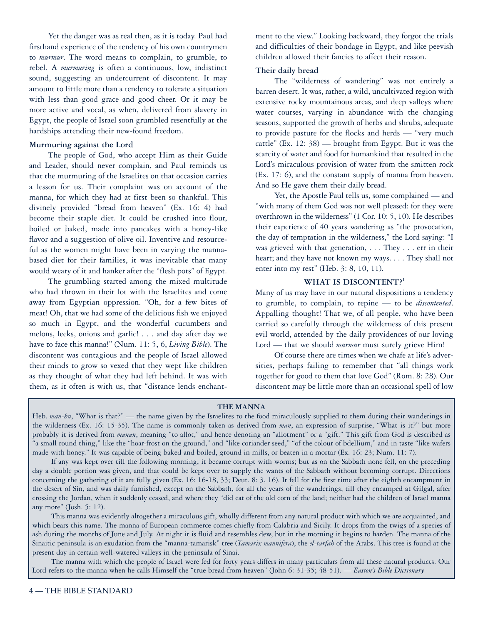Yet the danger was as real then, as it is today. Paul had firsthand experience of the tendency of his own countrymen to *murmur*. The word means to complain, to grumble, to rebel. A *murmuring* is often a continuous, low, indistinct sound, suggesting an undercurrent of discontent. It may amount to little more than a tendency to tolerate a situation with less than good grace and good cheer. Or it may be more active and vocal, as when, delivered from slavery in Egypt, the people of Israel soon grumbled resentfully at the hardships attending their new-found freedom.

#### **Murmuring against the Lord**

The people of God, who accept Him as their Guide and Leader, should never complain, and Paul reminds us that the murmuring of the Israelites on that occasion carries a lesson for us. Their complaint was on account of the manna, for which they had at first been so thankful. This divinely provided "bread from heaven" (Ex. 16: 4) had become their staple diet. It could be crushed into flour, boiled or baked, made into pancakes with a honey-like flavor and a suggestion of olive oil. Inventive and resourceful as the women might have been in varying the mannabased diet for their families, it was inevitable that many would weary of it and hanker after the "flesh pots" of Egypt.

The grumbling started among the mixed multitude who had thrown in their lot with the Israelites and come away from Egyptian oppression. "Oh, for a few bites of meat! Oh, that we had some of the delicious fish we enjoyed so much in Egypt, and the wonderful cucumbers and melons, leeks, onions and garlic! ... and day after day we have to face this manna!" (Num. 11: 5, 6, *Living Bible*). The discontent was contagious and the people of Israel allowed their minds to grow so vexed that they wept like children as they thought of what they had left behind. It was with them, as it often is with us, that "distance lends enchantment to the view." Looking backward, they forgot the trials and difficulties of their bondage in Egypt, and like peevish children allowed their fancies to affect their reason.

## **Their daily bread**

The "wilderness of wandering" was not entirely a barren desert. It was, rather, a wild, uncultivated region with extensive rocky mountainous areas, and deep valleys where water courses, varying in abundance with the changing seasons, supported the growth of herbs and shrubs, adequate to provide pasture for the flocks and herds — "very much cattle" (Ex. 12: 38) — brought from Egypt. But it was the scarcity of water and food for humankind that resulted in the Lord's miraculous provision of water from the smitten rock (Ex. 17: 6), and the constant supply of manna from heaven. And so He gave them their daily bread.

Yet, the Apostle Paul tells us, some complained — and "with many of them God was not well pleased: for they were overthrown in the wilderness" (1 Cor. 10: 5, 10). He describes their experience of 40 years wandering as "the provocation, the day of temptation in the wilderness," the Lord saying: "I was grieved with that generation, . . . They . . . err in their heart; and they have not known my ways. ... They shall not enter into my rest" (Heb. 3: 8, 10, 11).

# **WHAT IS DISCONTENT?1**

Many of us may have in our natural dispositions a tendency to grumble, to complain, to repine — to be *discontented*. Appalling thought! That we, of all people, who have been carried so carefully through the wilderness of this present evil world, attended by the daily providences of our loving Lord — that we should *murmur* must surely grieve Him!

Of course there are times when we chafe at life's adversities, perhaps failing to remember that "all things work together for good to them that love God" (Rom. 8: 28). Our discontent may be little more than an occasional spell of low

### **THE MANNA**

Heb. *man-hu*, "What is that?" — the name given by the Israelites to the food miraculously supplied to them during their wanderings in the wilderness (Ex. 16: 15-35). The name is commonly taken as derived from *man*, an expression of surprise, "What is it?" but more probably it is derived from *manan*, meaning "to allot," and hence denoting an "allotment" or a "gift." This gift from God is described as "a small round thing," like the "hoar-frost on the ground," and "like coriander seed," "of the colour of bdellium," and in taste "like wafers made with honey." It was capable of being baked and boiled, ground in mills, or beaten in a mortar (Ex. 16: 23; Num. 11: 7).

If any was kept over till the following morning, it became corrupt with worms; but as on the Sabbath none fell, on the preceding day a double portion was given, and that could be kept over to supply the wants of the Sabbath without becoming corrupt. Directions concerning the gathering of it are fully given (Ex. 16: 16-18, 33; Deut. 8: 3, 16). It fell for the first time after the eighth encampment in the desert of Sin, and was daily furnished, except on the Sabbath, for all the years of the wanderings, till they encamped at Gilgal, after crossing the Jordan, when it suddenly ceased, and where they "did eat of the old corn of the land; neither had the children of Israel manna any more" (Josh. 5: 12).

This manna was evidently altogether a miraculous gift, wholly different from any natural product with which we are acquainted, and which bears this name. The manna of European commerce comes chiefly from Calabria and Sicily. It drops from the twigs of a species of ash during the months of June and July. At night it is fluid and resembles dew, but in the morning it begins to harden. The manna of the Sinaitic peninsula is an exudation from the "manna-tamarisk" tree (*Tamarix mannifera*), the *el-tarfah* of the Arabs. This tree is found at the present day in certain well-watered valleys in the peninsula of Sinai.

The manna with which the people of Israel were fed for forty years differs in many particulars from all these natural products. Our Lord refers to the manna when he calls Himself the "true bread from heaven" (John 6: 31-35; 48-51). — *Easton's Bible Dictionary*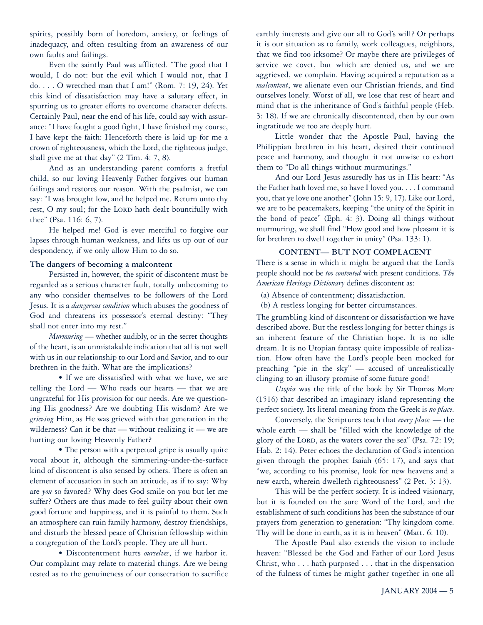spirits, possibly born of boredom, anxiety, or feelings of inadequacy, and often resulting from an awareness of our own faults and failings.

Even the saintly Paul was afflicted. "The good that I would, I do not: but the evil which I would not, that I do. . . . O wretched man that I am!" (Rom. 7: 19, 24). Yet this kind of dissatisfaction may have a salutary effect, in spurring us to greater efforts to overcome character defects. Certainly Paul, near the end of his life, could say with assurance: "I have fought a good fight, I have finished my course, I have kept the faith: Henceforth there is laid up for me a crown of righteousness, which the Lord, the righteous judge, shall give me at that day" (2 Tim. 4: 7, 8).

And as an understanding parent comforts a fretful child, so our loving Heavenly Father forgives our human failings and restores our reason. With the psalmist, we can say: "I was brought low, and he helped me. Return unto thy rest, O my soul; for the LORD hath dealt bountifully with thee" (Psa. 116: 6, 7).

He helped me! God is ever merciful to forgive our lapses through human weakness, and lifts us up out of our despondency, if we only allow Him to do so.

#### **The dangers of becoming a malcontent**

Persisted in, however, the spirit of discontent must be regarded as a serious character fault, totally unbecoming to any who consider themselves to be followers of the Lord Jesus. It is a *dangerous condition* which abuses the goodness of God and threatens its possessor's eternal destiny: "They shall not enter into my rest."

*Murmuring* — whether audibly, or in the secret thoughts of the heart, is an unmistakable indication that all is not well with us in our relationship to our Lord and Savior, and to our brethren in the faith. What are the implications?

• If we are dissatisfied with what we have, we are telling the Lord — Who reads our hearts — that we are ungrateful for His provision for our needs. Are we questioning His goodness? Are we doubting His wisdom? Are we *grieving* Him, as He was grieved with that generation in the wilderness? Can it be that — without realizing it — we are hurting our loving Heavenly Father**?**

• The person with a perpetual gripe is usually quite vocal about it, although the simmering-under-the-surface kind of discontent is also sensed by others. There is often an element of accusation in such an attitude, as if to say: Why are *you* so favored? Why does God smile on you but let me suffer? Others are thus made to feel guilty about their own good fortune and happiness, and it is painful to them. Such an atmosphere can ruin family harmony, destroy friendships, and disturb the blessed peace of Christian fellowship within a congregation of the Lord's people. They are all hurt.

• Discontentment hurts *ourselves*, if we harbor it. Our complaint may relate to material things. Are we being tested as to the genuineness of our consecration to sacrifice

earthly interests and give our all to God's will? Or perhaps it is our situation as to family, work colleagues, neighbors, that we find too irksome? Or maybe there are privileges of service we covet, but which are denied us, and we are aggrieved, we complain. Having acquired a reputation as a *malcontent*, we alienate even our Christian friends, and find ourselves lonely. Worst of all, we lose that rest of heart and mind that is the inheritance of God's faithful people (Heb. 3: 18). If we are chronically discontented, then by our own ingratitude we too are deeply hurt.

Little wonder that the Apostle Paul, having the Philippian brethren in his heart, desired their continued peace and harmony, and thought it not unwise to exhort them to "Do all things without murmurings."

And our Lord Jesus assuredly has us in His heart: "As the Father hath loved me, so have I loved you. . . . I command you, that ye love one another" (John 15: 9, 17). Like our Lord, we are to be peacemakers, keeping "the unity of the Spirit in the bond of peace" (Eph. 4: 3). Doing all things without murmuring, we shall find "How good and how pleasant it is for brethren to dwell together in unity" (Psa. 133: 1).

#### **CONTENT— BUT NOT COMPLACENT**

There is a sense in which it might be argued that the Lord's people should not be *too contented* with present conditions. *The American Heritage Dictionary* defines discontent as:

(a) Absence of contentment; dissatisfaction.

(b) A restless longing for better circumstances.

The grumbling kind of discontent or dissatisfaction we have described above. But the restless longing for better things is an inherent feature of the Christian hope. It is no idle dream. It is no Utopian fantasy quite impossible of realization. How often have the Lord's people been mocked for preaching "pie in the sky" — accused of unrealistically clinging to an illusory promise of some future good!

*Utopia* was the title of the book by Sir Thomas More (1516) that described an imaginary island representing the perfect society. Its literal meaning from the Greek is *no place*.

Conversely, the Scriptures teach that *every plac*e — the whole earth — shall be "filled with the knowledge of the glory of the LORD, as the waters cover the sea" (Psa. 72: 19; Hab. 2: 14). Peter echoes the declaration of God's intention given through the prophet Isaiah (65: 17), and says that "we, according to his promise, look for new heavens and a new earth, wherein dwelleth righteousness" (2 Pet. 3: 13).

This will be the perfect society. It is indeed visionary, but it is founded on the sure Word of the Lord, and the establishment of such conditions has been the substance of our prayers from generation to generation: "Thy kingdom come. Thy will be done in earth, as it is in heaven" (Matt. 6: 10).

The Apostle Paul also extends the vision to include heaven: "Blessed be the God and Father of our Lord Jesus Christ, who... hath purposed... that in the dispensation of the fulness of times he might gather together in one all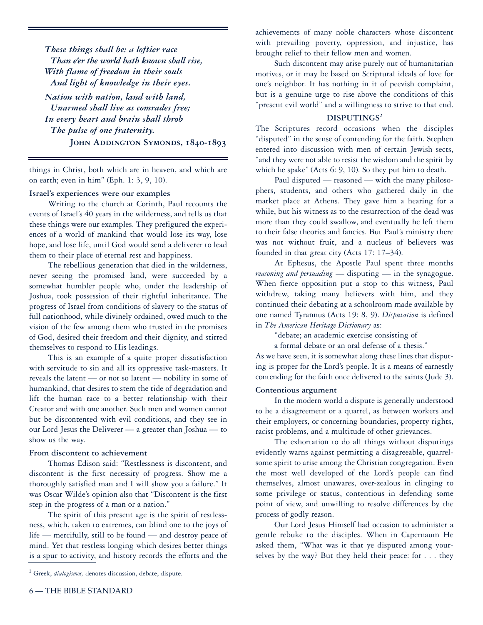*These things shall be: a loftier race Than e'er the world hath known shall rise, With flame of freedom in their souls And light of knowledge in their eyes.*

*Nation with nation, land with land, Unarmed shall live as comrades free; In every heart and brain shall throb The pulse of one fraternity.* JOHN ADDINGTON SYMONDS, 1840-1893

things in Christ, both which are in heaven, and which are on earth; even in him" (Eph. 1: 3, 9, 10).

#### **Israel's experiences were our examples**

Writing to the church at Corinth, Paul recounts the events of Israel's 40 years in the wilderness, and tells us that these things were our examples. They prefigured the experiences of a world of mankind that would lose its way, lose hope, and lose life, until God would send a deliverer to lead them to their place of eternal rest and happiness.

The rebellious generation that died in the wilderness, never seeing the promised land, were succeeded by a somewhat humbler people who, under the leadership of Joshua, took possession of their rightful inheritance. The progress of Israel from conditions of slavery to the status of full nationhood, while divinely ordained, owed much to the vision of the few among them who trusted in the promises of God, desired their freedom and their dignity, and stirred themselves to respond to His leadings.

This is an example of a quite proper dissatisfaction with servitude to sin and all its oppressive task-masters. It reveals the latent — or not so latent — nobility in some of humankind, that desires to stem the tide of degradation and lift the human race to a better relationship with their Creator and with one another. Such men and women cannot but be discontented with evil conditions, and they see in our Lord Jesus the Deliverer — a greater than Joshua — to show us the way.

# **From discontent to achievement**

Thomas Edison said: "Restlessness is discontent, and discontent is the first necessity of progress. Show me a thoroughly satisfied man and I will show you a failure." It was Oscar Wilde's opinion also that "Discontent is the first step in the progress of a man or a nation."

The spirit of this present age is the spirit of restlessness, which, taken to extremes, can blind one to the joys of life — mercifully, still to be found — and destroy peace of mind. Yet that restless longing which desires better things is a spur to activity, and history records the efforts and the achievements of many noble characters whose discontent with prevailing poverty, oppression, and injustice, has brought relief to their fellow men and women.

Such discontent may arise purely out of humanitarian motives, or it may be based on Scriptural ideals of love for one's neighbor. It has nothing in it of peevish complaint, but is a genuine urge to rise above the conditions of this "present evil world" and a willingness to strive to that end.

# **DISPUTINGS2**

The Scriptures record occasions when the disciples "disputed" in the sense of contending for the faith. Stephen entered into discussion with men of certain Jewish sects, "and they were not able to resist the wisdom and the spirit by which he spake" (Acts 6: 9, 10). So they put him to death.

Paul disputed — reasoned — with the many philosophers, students, and others who gathered daily in the market place at Athens. They gave him a hearing for a while, but his witness as to the resurrection of the dead was more than they could swallow, and eventually he left them to their false theories and fancies. But Paul's ministry there was not without fruit, and a nucleus of believers was founded in that great city (Acts 17: 17–34).

At Ephesus, the Apostle Paul spent three months *reasoning and persuading* — disputing — in the synagogue. When fierce opposition put a stop to this witness, Paul withdrew, taking many believers with him, and they continued their debating at a schoolroom made available by one named Tyrannus (Acts 19: 8, 9). *Disputation* is defined in *The American Heritage Dictionary* as:

"debate; an academic exercise consisting of

a formal debate or an oral defense of a thesis."

As we have seen, it is somewhat along these lines that disputing is proper for the Lord's people. It is a means of earnestly contending for the faith once delivered to the saints (Jude 3).

## **Contentious argument**

In the modern world a dispute is generally understood to be a disagreement or a quarrel, as between workers and their employers, or concerning boundaries, property rights, racist problems, and a multitude of other grievances.

The exhortation to do all things without disputings evidently warns against permitting a disagreeable, quarrelsome spirit to arise among the Christian congregation. Even the most well developed of the Lord's people can find themselves, almost unawares, over-zealous in clinging to some privilege or status, contentious in defending some point of view, and unwilling to resolve differences by the process of godly reason.

Our Lord Jesus Himself had occasion to administer a gentle rebuke to the disciples. When in Capernaum He asked them, "What was it that ye disputed among yourselves by the way? But they held their peace: for... they

**<sup>2</sup>** Greek, *dialogismos,* denotes discussion, debate, dispute.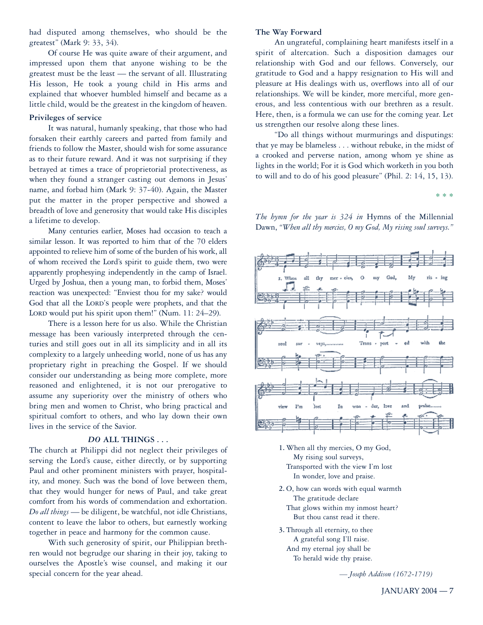had disputed among themselves, who should be the greatest" (Mark 9: 33, 34).

Of course He was quite aware of their argument, and impressed upon them that anyone wishing to be the greatest must be the least — the servant of all. Illustrating His lesson, He took a young child in His arms and explained that whoever humbled himself and became as a little child, would be the greatest in the kingdom of heaven.

# **Privileges of service**

It was natural, humanly speaking, that those who had forsaken their earthly careers and parted from family and friends to follow the Master, should wish for some assurance as to their future reward. And it was not surprising if they betrayed at times a trace of proprietorial protectiveness, as when they found a stranger casting out demons in Jesus' name, and forbad him (Mark 9: 37-40). Again, the Master put the matter in the proper perspective and showed a breadth of love and generosity that would take His disciples a lifetime to develop.

Many centuries earlier, Moses had occasion to teach a similar lesson. It was reported to him that of the 70 elders appointed to relieve him of some of the burden of his work, all of whom received the Lord's spirit to guide them, two were apparently prophesying independently in the camp of Israel. Urged by Joshua, then a young man, to forbid them, Moses' reaction was unexpected: "Enviest thou for my sake? would God that all the LORD'S people were prophets, and that the LORD would put his spirit upon them!" (Num.  $11: 24-29$ ).

There is a lesson here for us also. While the Christian message has been variously interpreted through the centuries and still goes out in all its simplicity and in all its complexity to a largely unheeding world, none of us has any proprietary right in preaching the Gospel. If we should consider our understanding as being more complete, more reasoned and enlightened, it is not our prerogative to assume any superiority over the ministry of others who bring men and women to Christ, who bring practical and spiritual comfort to others, and who lay down their own lives in the service of the Savior.

#### *DO* **ALL THINGS...**

The church at Philippi did not neglect their privileges of serving the Lord's cause, either directly, or by supporting Paul and other prominent ministers with prayer, hospitality, and money. Such was the bond of love between them, that they would hunger for news of Paul, and take great comfort from his words of commendation and exhortation. *Do all things* — be diligent, be watchful, not idle Christians, content to leave the labor to others, but earnestly working together in peace and harmony for the common cause.

With such generosity of spirit, our Philippian brethren would not begrudge our sharing in their joy, taking to ourselves the Apostle's wise counsel, and making it our special concern for the year ahead.

#### **The Way Forward**

An ungrateful, complaining heart manifests itself in a spirit of altercation. Such a disposition damages our relationship with God and our fellows. Conversely, our gratitude to God and a happy resignation to His will and pleasure at His dealings with us, overflows into all of our relationships. We will be kinder, more merciful, more generous, and less contentious with our brethren as a result. Here, then, is a formula we can use for the coming year. Let us strengthen our resolve along these lines.

"Do all things without murmurings and disputings: that ye may be blameless ... without rebuke, in the midst of a crooked and perverse nation, among whom ye shine as lights in the world; For it is God which worketh in you both to will and to do of his good pleasure" (Phil. 2: 14, 15, 13).

\* \* \*

*The hymn for the year is 324 in* Hymns of the Millennial Dawn, *"When all thy mercies, O my God, My rising soul surveys."*



- **1.** When all thy mercies, O my God, My rising soul surveys, Transported with the view I'm lost In wonder, love and praise.
- **2.** O, how can words with equal warmth The gratitude declare That glows within my inmost heart? But thou canst read it there.
- **3.** Through all eternity, to thee A grateful song I'll raise. And my eternal joy shall be To herald wide thy praise.

*— Joseph Addison (1672-1719)*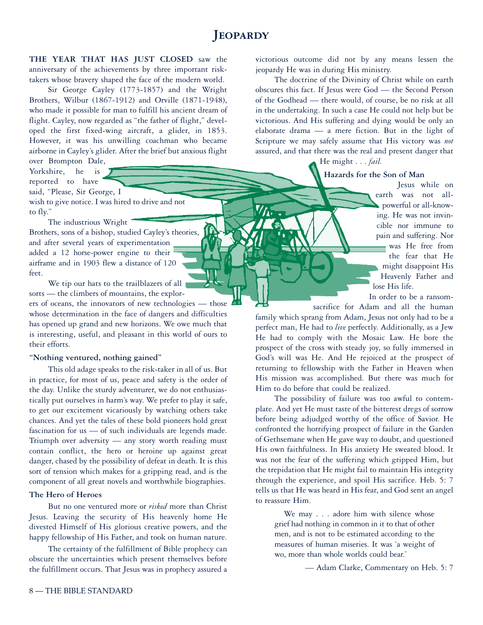# **Jeopardy**

**THE YEAR THAT HAS JUST CLOSED** saw the anniversary of the achievements by three important risktakers whose bravery shaped the face of the modern world.

Sir George Cayley (1773-1857) and the Wright Brothers, Wilbur (1867-1912) and Orville (1871-1948), who made it possible for man to fulfill his ancient dream of flight. Cayley, now regarded as "the father of flight," developed the first fixed-wing aircraft, a glider, in 1853. However, it was his unwilling coachman who became airborne in Cayley's glider. After the brief but anxious flight

over Brompton Dale, Yorkshire, he is reported to have said, "Please, Sir George, I wish to give notice. I was hired to drive and not to fly."

The industrious Wright Brothers, sons of a bishop, studied Cayley's theories, and after several years of experimentation added a 12 horse-power engine to their airframe and in 1903 flew a distance of 120 feet.

We tip our hats to the trailblazers of all sorts — the climbers of mountains, the explor-

ers of oceans, the innovators of new technologies — those whose determination in the face of dangers and difficulties has opened up grand and new horizons. We owe much that is interesting, useful, and pleasant in this world of ours to their efforts.

#### **"Nothing ventured, nothing gained"**

This old adage speaks to the risk-taker in all of us. But in practice, for most of us, peace and safety is the order of the day. Unlike the sturdy adventurer, we do not enthusiastically put ourselves in harm's way. We prefer to play it safe, to get our excitement vicariously by watching others take chances. And yet the tales of these bold pioneers hold great fascination for us — of such individuals are legends made. Triumph over adversity — any story worth reading must contain conflict, the hero or heroine up against great danger, chased by the possibility of defeat in death. It is this sort of tension which makes for a gripping read, and is the component of all great novels and worthwhile biographies.

### **The Hero of Heroes**

But no one ventured more or *risked* more than Christ Jesus. Leaving the security of His heavenly home He divested Himself of His glorious creative powers, and the happy fellowship of His Father, and took on human nature.

The certainty of the fulfillment of Bible prophecy can obscure the uncertainties which present themselves before the fulfillment occurs. That Jesus was in prophecy assured a victorious outcome did not by any means lessen the jeopardy He was in during His ministry.

The doctrine of the Divinity of Christ while on earth obscures this fact. If Jesus were God — the Second Person of the Godhead — there would, of course, be no risk at all in the undertaking. In such a case He could not help but be victorious. And His suffering and dying would be only an elaborate drama — a mere fiction. But in the light of Scripture we may safely assume that His victory was *not* assured, and that there was the real and present danger that

# He might... *fail.*

# **Hazards for the Son of Man**

Jesus while on earth was not allpowerful or all-knowing. He was not invincible nor immune to pain and suffering. Nor was He free from the fear that He might disappoint His Heavenly Father and lose His life.

In order to be a ransom-

sacrifice for Adam and all the human family which sprang from Adam, Jesus not only had to be a perfect man, He had to *live* perfectly. Additionally, as a Jew He had to comply with the Mosaic Law. He bore the prospect of the cross with steady joy, so fully immersed in God's will was He. And He rejoiced at the prospect of returning to fellowship with the Father in Heaven when His mission was accomplished. But there was much for Him to do before that could be realized.

The possibility of failure was too awful to contemplate. And yet He must taste of the bitterest dregs of sorrow before being adjudged worthy of the office of Savior. He confronted the horrifying prospect of failure in the Garden of Gethsemane when He gave way to doubt, and questioned His own faithfulness. In His anxiety He sweated blood. It was not the fear of the suffering which gripped Him, but the trepidation that He might fail to maintain His integrity through the experience, and spoil His sacrifice. Heb. 5: 7 tells us that He was heard in His fear, and God sent an angel to reassure Him.

We may . . . adore him with silence whose grief had nothing in common in it to that of other men, and is not to be estimated according to the measures of human miseries. It was 'a weight of wo, more than whole worlds could bear.'

— Adam Clarke, Commentary on Heb. 5: 7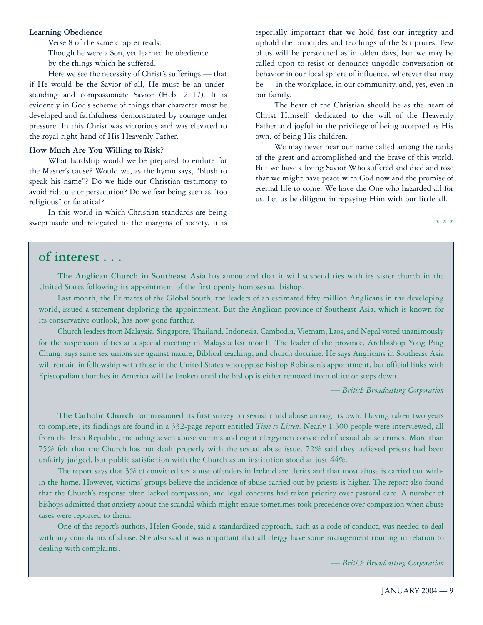#### **Learning Obedience**

Verse 8 of the same chapter reads: Though he were a Son, yet learned he obedience by the things which he suffered.

Here we see the necessity of Christ's sufferings — that if He would be the Savior of all, He must be an understanding and compassionate Savior (Heb. 2: 17). It is evidently in God's scheme of things that character must be developed and faithfulness demonstrated by courage under pressure. In this Christ was victorious and was elevated to the royal right hand of His Heavenly Father.

#### **How Much Are You Willing to Risk?**

What hardship would we be prepared to endure for the Master's cause? Would we, as the hymn says, "blush to speak his name"? Do we hide our Christian testimony to avoid ridicule or persecution? Do we fear being seen as "too religious" or fanatical?

In this world in which Christian standards are being swept aside and relegated to the margins of society, it is especially important that we hold fast our integrity and uphold the principles and teachings of the Scriptures. Few of us will be persecuted as in olden days, but we may be called upon to resist or denounce ungodly conversation or behavior in our local sphere of influence, wherever that may be — in the workplace, in our community, and, yes, even in our family.

The heart of the Christian should be as the heart of Christ Himself: dedicated to the will of the Heavenly Father and joyful in the privilege of being accepted as His own, of being His children.

We may never hear our name called among the ranks of the great and accomplished and the brave of this world. But we have a living Savior Who suffered and died and rose that we might have peace with God now and the promise of eternal life to come. We have the One who hazarded all for us. Let us be diligent in repaying Him with our little all.

# **of interest . . .**

**The Anglican Church in Southeast Asia** has announced that it will suspend ties with its sister church in the United States following its appointment of the first openly homosexual bishop.

Last month, the Primates of the Global South, the leaders of an estimated fifty million Anglicans in the developing world, issued a statement deploring the appointment. But the Anglican province of Southeast Asia, which is known for its conservative outlook, has now gone further.

Church leaders from Malaysia, Singapore, Thailand, Indonesia, Cambodia, Vietnam, Laos, and Nepal voted unanimously for the suspension of ties at a special meeting in Malaysia last month. The leader of the province, Archbishop Yong Ping Chung, says same sex unions are against nature, Biblical teaching, and church doctrine. He says Anglicans in Southeast Asia will remain in fellowship with those in the United States who oppose Bishop Robinson's appointment, but official links with Episcopalian churches in America will be broken until the bishop is either removed from office or steps down.

— *British Broadcasting Corporation*

**\* \* \***

**The Catholic Church** commissioned its first survey on sexual child abuse among its own. Having taken two years to complete, its findings are found in a 332-page report entitled *Time to Listen*. Nearly 1,300 people were interviewed, all from the Irish Republic, including seven abuse victims and eight clergymen convicted of sexual abuse crimes. More than 75% felt that the Church has not dealt properly with the sexual abuse issue. 72% said they believed priests had been unfairly judged, but public satisfaction with the Church as an institution stood at just 44%.

The report says that 3% of convicted sex abuse offenders in Ireland are clerics and that most abuse is carried out within the home. However, victims' groups believe the incidence of abuse carried out by priests is higher. The report also found that the Church's response often lacked compassion, and legal concerns had taken priority over pastoral care. A number of bishops admitted that anxiety about the scandal which might ensue sometimes took precedence over compassion when abuse cases were reported to them.

One of the report's authors, Helen Goode, said a standardized approach, such as a code of conduct, was needed to deal with any complaints of abuse. She also said it was important that all clergy have some management training in relation to dealing with complaints.

— *British Broadcasting Corporation*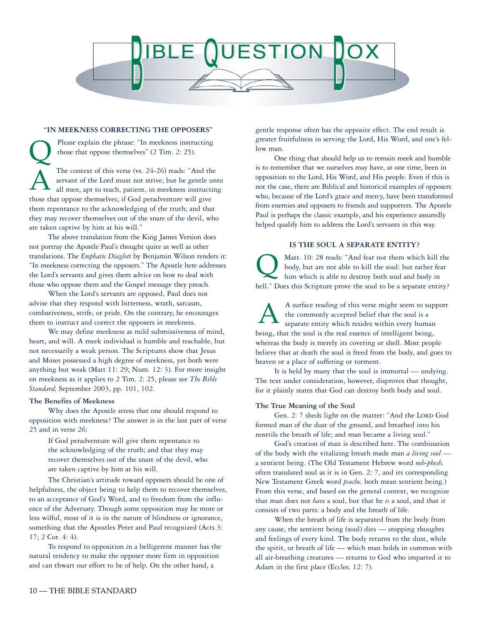

#### **"IN MEEKNESS CORRECTING THE OPPOSERS"**

Please explain the phrase: "In meekness instructing those that oppose themselves" (2 Tim. 2: 25). The context of this verse (vs. 24-26) reads: "And the servant of the Lord must not strive; but be gentle unto all men, apt to teach, patient, in meekness instructing those that oppose themselves; if God peradventure will give them repentance to the acknowledging of the truth; and that they may recover themselves out of the snare of the devil, who are taken captive by him at his will."  $\overline{\mathsf{Q}}$ A

The above translation from the King James Version does not portray the Apostle Paul's thought quite as well as other translations. The *Emphatic Diaglott* by Benjamin Wilson renders it: "In meekness correcting the opposers." The Apostle here addresses the Lord's servants and gives them advice on how to deal with those who oppose them and the Gospel message they preach.

When the Lord's servants are opposed, Paul does not advise that they respond with bitterness, wrath, sarcasm, combativeness, strife, or pride. On the contrary, he encourages them to instruct and correct the opposers in meekness.

We may define meekness as mild submissiveness of mind, heart, and will. A meek individual is humble and teachable, but not necessarily a weak person. The Scriptures show that Jesus and Moses possessed a high degree of meekness, yet both were anything but weak (Matt 11: 29; Num. 12: 3). For more insight on meekness as it applies to 2 Tim. 2: 25, please see *The Bible Standard,* September 2003, pp. 101, 102.

#### **The Benefits of Meekness**

Why does the Apostle stress that one should respond to opposition with meekness? The answer is in the last part of verse 25 and in verse 26:

If God peradventure will give them repentance to the acknowledging of the truth; and that they may recover themselves out of the snare of the devil, who are taken captive by him at his will.

The Christian's attitude toward opposers should be one of helpfulness, the object being to help them to recover themselves, to an acceptance of God's Word, and to freedom from the influence of the Adversary. Though some opposition may be more or less wilful, most of it is in the nature of blindness or ignorance, something that the Apostles Peter and Paul recognized (Acts 3: 17; 2 Cor. 4: 4).

To respond to opposition in a belligerent manner has the natural tendency to make the opposer more firm in opposition and can thwart our effort to be of help. On the other hand, a

gentle response often has the opposite effect. The end result is greater fruitfulness in serving the Lord, His Word, and one's fellow man.

One thing that should help us to remain meek and humble is to remember that we ourselves may have, at one time, been in opposition to the Lord, His Word, and His people. Even if this is not the case, there are Biblical and historical examples of opposers who, because of the Lord's grace and mercy, have been transformed from enemies and opposers to friends and supporters. The Apostle Paul is perhaps the classic example, and his experience assuredly helped qualify him to address the Lord's servants in this way.

#### **IS THE SOUL A SEPARATE ENTITY?**

Matt. 10: 28 reads: "And fear not them which kill the body, but are not able to kill the soul: but rather fear him which is able to destroy both soul and body in hell." Does this Scripture prove the soul to be a separate entity?  $\overline{\mathsf{Q}}$ 

A surface reading of this verse might seem to support the commonly accepted belief that the soul is a separate entity which resides within every human being, that the soul is the real essence of intelligent being, whereas the body is merely its covering or shell. Most people believe that at death the soul is freed from the body, and goes to heaven or a place of suffering or torment. A

It is held by many that the soul is immortal — undying. The text under consideration, however, disproves that thought, for it plainly states that God can destroy both body and soul.

#### **The True Meaning of the Soul**

Gen. 2: 7 sheds light on the matter: "And the LORD God formed man of the dust of the ground, and breathed into his nostrils the breath of life; and man became a living soul."

God's creation of man is described here. The combination of the body with the vitalizing breath made man *a living soul* a sentient being. (The Old Testament Hebrew word *neh-phesh,* often translated soul as it is in Gen. 2: 7, and its corresponding New Testament Greek word *psuche,* both mean sentient being.) From this verse, and based on the general context, we recognize that man does not *have* a soul, but that he *is* a soul, and that it consists of two parts: a body and the breath of life.

When the breath of life is separated from the body from any cause, the sentient being (soul) dies — stopping thoughts and feelings of every kind. The body returns to the dust, while the spirit, or breath of life — which man holds in common with all air-breathing creatures — returns to God who imparted it to Adam in the first place (Eccles. 12: 7).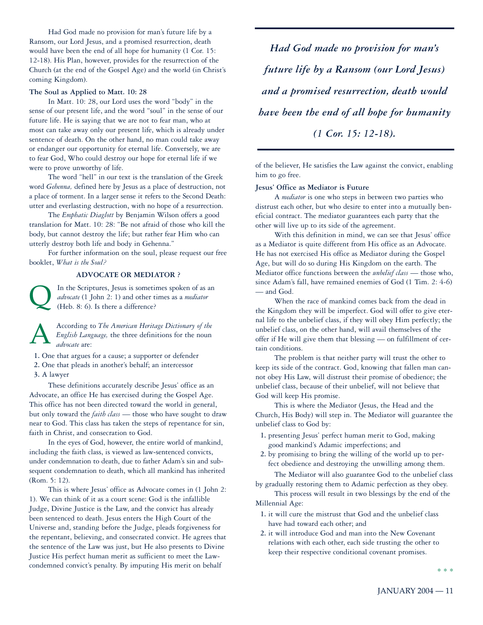Had God made no provision for man's future life by a Ransom, our Lord Jesus, and a promised resurrection, death would have been the end of all hope for humanity (1 Cor. 15: 12-18). His Plan, however, provides for the resurrection of the Church (at the end of the Gospel Age) and the world (in Christ's coming Kingdom).

#### **The Soul as Applied to Matt. 10: 28**

In Matt. 10: 28, our Lord uses the word "body" in the sense of our present life, and the word "soul" in the sense of our future life. He is saying that we are not to fear man, who at most can take away only our present life, which is already under sentence of death. On the other hand, no man could take away or endanger our opportunity for eternal life. Conversely, we are to fear God, Who could destroy our hope for eternal life if we were to prove unworthy of life.

The word "hell" in our text is the translation of the Greek word *Gehenna,* defined here by Jesus as a place of destruction, not a place of torment. In a larger sense it refers to the Second Death: utter and everlasting destruction, with no hope of a resurrection.

The *Emphatic Diaglott* by Benjamin Wilson offers a good translation for Matt. 10: 28: "Be not afraid of those who kill the body, but cannot destroy the life; but rather fear Him who can utterly destroy both life and body in Gehenna."

For further information on the soul, please request our free booklet, *What is the Soul?*

#### **ADVOCATE OR MEDIATOR ?**

In the Scriptures, Jesus is sometimes spoken of as an *advocate* (1 John 2: 1) and other times as a *mediator* (Heb. 8: 6). Is there a difference?  $\overline{\mathsf{Q}}$ 

According to *The American Heritage Dictionary of the English Language,* the three definitions for the noun *advocate* are: A

- **1.** One that argues for a cause; a supporter or defender
- **2.** One that pleads in another's behalf; an intercessor
- **3.** A lawyer

These definitions accurately describe Jesus' office as an Advocate, an office He has exercised during the Gospel Age. This office has not been directed toward the world in general, but only toward the *faith class* — those who have sought to draw near to God. This class has taken the steps of repentance for sin, faith in Christ, and consecration to God.

In the eyes of God, however, the entire world of mankind, including the faith class, is viewed as law-sentenced convicts, under condemnation to death, due to father Adam's sin and subsequent condemnation to death, which all mankind has inherited (Rom. 5: 12).

This is where Jesus' office as Advocate comes in (1 John 2: 1). We can think of it as a court scene: God is the infallible Judge, Divine Justice is the Law, and the convict has already been sentenced to death. Jesus enters the High Court of the Universe and, standing before the Judge, pleads forgiveness for the repentant, believing, and consecrated convict. He agrees that the sentence of the Law was just, but He also presents to Divine Justice His perfect human merit as sufficient to meet the Lawcondemned convict's penalty. By imputing His merit on behalf

*Had God made no provision for man's future life by a Ransom (our Lord Jesus) and a promised resurrection, death would have been the end of all hope for humanity (1 Cor. 15: 12-18).*

of the believer, He satisfies the Law against the convict, enabling him to go free.

#### **Jesus' Office as Mediator is Future**

A *mediator* is one who steps in between two parties who distrust each other, but who desire to enter into a mutually beneficial contract. The mediator guarantees each party that the other will live up to its side of the agreement.

With this definition in mind, we can see that Jesus' office as a Mediator is quite different from His office as an Advocate. He has not exercised His office as Mediator during the Gospel Age, but will do so during His Kingdom on the earth. The Mediator office functions between the *unbelief class* — those who, since Adam's fall, have remained enemies of God (1 Tim. 2: 4-6) — and God.

When the race of mankind comes back from the dead in the Kingdom they will be imperfect. God will offer to give eternal life to the unbelief class, if they will obey Him perfectly; the unbelief class, on the other hand, will avail themselves of the offer if He will give them that blessing — on fulfillment of certain conditions.

The problem is that neither party will trust the other to keep its side of the contract. God, knowing that fallen man cannot obey His Law, will distrust their promise of obedience; the unbelief class, because of their unbelief, will not believe that God will keep His promise.

This is where the Mediator (Jesus, the Head and the Church, His Body) will step in. The Mediator will guarantee the unbelief class to God by:

- **1.** presenting Jesus' perfect human merit to God, making good mankind's Adamic imperfections; and
- **2.** by promising to bring the willing of the world up to perfect obedience and destroying the unwilling among them.

The Mediator will also guarantee God to the unbelief class by gradually restoring them to Adamic perfection as they obey.

This process will result in two blessings by the end of the Millennial Age:

- **1.** it will cure the mistrust that God and the unbelief class have had toward each other; and
- **2.** it will introduce God and man into the New Covenant relations with each other, each side trusting the other to keep their respective conditional covenant promises.

\* \* \*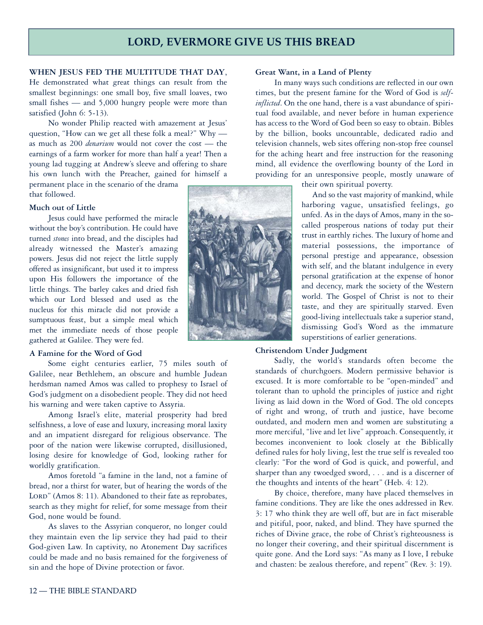# **LORD, EVERMORE GIVE US THIS BREAD**

# **WHEN JESUS FED THE MULTITUDE THAT DAY**,

He demonstrated what great things can result from the smallest beginnings: one small boy, five small loaves, two small fishes — and 5,000 hungry people were more than satisfied (John 6: 5-13).

No wonder Philip reacted with amazement at Jesus' question, "How can we get all these folk a meal?" Why as much as 200 *denarium* would not cover the cost — the earnings of a farm worker for more than half a year! Then a young lad tugging at Andrew's sleeve and offering to share his own lunch with the Preacher, gained for himself a

permanent place in the scenario of the drama that followed.

#### **Much out of Little**

Jesus could have performed the miracle without the boy's contribution. He could have turned *stones* into bread, and the disciples had already witnessed the Master's amazing powers. Jesus did not reject the little supply offered as insignificant, but used it to impress upon His followers the importance of the little things. The barley cakes and dried fish which our Lord blessed and used as the nucleus for this miracle did not provide a sumptuous feast, but a simple meal which met the immediate needs of those people gathered at Galilee. They were fed.

#### **A Famine for the Word of God**

Some eight centuries earlier, 75 miles south of Galilee, near Bethlehem, an obscure and humble Judean herdsman named Amos was called to prophesy to Israel of God's judgment on a disobedient people. They did not heed his warning and were taken captive to Assyria.

Among Israel's elite, material prosperity had bred selfishness, a love of ease and luxury, increasing moral laxity and an impatient disregard for religious observance. The poor of the nation were likewise corrupted, disillusioned, losing desire for knowledge of God, looking rather for worldly gratification.

Amos foretold "a famine in the land, not a famine of bread, nor a thirst for water, but of hearing the words of the LORD" (Amos 8: 11). Abandoned to their fate as reprobates, search as they might for relief, for some message from their God, none would be found.

As slaves to the Assyrian conqueror, no longer could they maintain even the lip service they had paid to their God-given Law. In captivity, no Atonement Day sacrifices could be made and no basis remained for the forgiveness of sin and the hope of Divine protection or favor.



#### **Great Want, in a Land of Plenty**

In many ways such conditions are reflected in our own times, but the present famine for the Word of God is *selfinflicted*. On the one hand, there is a vast abundance of spiritual food available, and never before in human experience has access to the Word of God been so easy to obtain. Bibles by the billion, books uncountable, dedicated radio and television channels, web sites offering non-stop free counsel for the aching heart and free instruction for the reasoning mind, all evidence the overflowing bounty of the Lord in providing for an unresponsive people, mostly unaware of

their own spiritual poverty.

And so the vast majority of mankind, while harboring vague, unsatisfied feelings, go unfed. As in the days of Amos, many in the socalled prosperous nations of today put their trust in earthly riches. The luxury of home and material possessions, the importance of personal prestige and appearance, obsession with self, and the blatant indulgence in every personal gratification at the expense of honor and decency, mark the society of the Western world. The Gospel of Christ is not to their taste, and they are spiritually starved. Even good-living intellectuals take a superior stand, dismissing God's Word as the immature superstitions of earlier generations.

#### **Christendom Under Judgment**

Sadly, the world's standards often become the standards of churchgoers. Modern permissive behavior is excused. It is more comfortable to be "open-minded" and tolerant than to uphold the principles of justice and right living as laid down in the Word of God. The old concepts of right and wrong, of truth and justice, have become outdated, and modern men and women are substituting a more merciful, "live and let live" approach. Consequently, it becomes inconvenient to look closely at the Biblically defined rules for holy living, lest the true self is revealed too clearly: "For the word of God is quick, and powerful, and sharper than any twoedged sword,... and is a discerner of the thoughts and intents of the heart" (Heb. 4: 12).

By choice, therefore, many have placed themselves in famine conditions. They are like the ones addressed in Rev. 3: 17 who think they are well off, but are in fact miserable and pitiful, poor, naked, and blind. They have spurned the riches of Divine grace, the robe of Christ's righteousness is no longer their covering, and their spiritual discernment is quite gone. And the Lord says: "As many as I love, I rebuke and chasten: be zealous therefore, and repent" (Rev. 3: 19).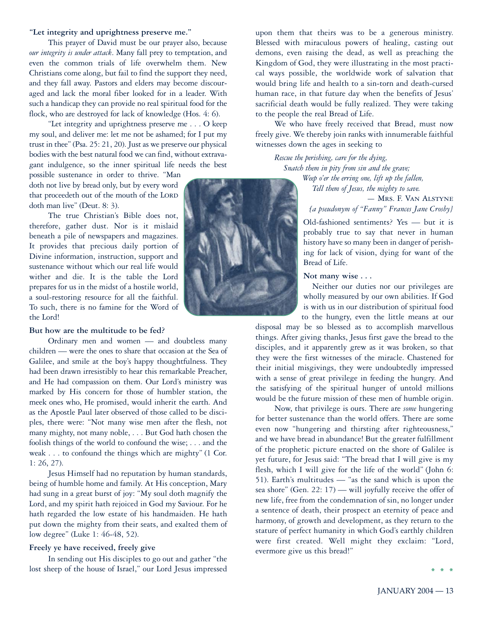#### **"Let integrity and uprightness preserve me."**

This prayer of David must be our prayer also, because *our integrity is under attack*. Many fall prey to temptation, and even the common trials of life overwhelm them. New Christians come along, but fail to find the support they need, and they fall away. Pastors and elders may become discouraged and lack the moral fiber looked for in a leader. With such a handicap they can provide no real spiritual food for the flock, who are destroyed for lack of knowledge (Hos. 4: 6).

"Let integrity and uprightness preserve me . . . O keep my soul, and deliver me: let me not be ashamed; for I put my trust in thee" (Psa. 25: 21, 20). Just as we preserve our physical bodies with the best natural food we can find, without extravagant indulgence, so the inner spiritual life needs the best

possible sustenance in order to thrive. "Man doth not live by bread only, but by every word that proceedeth out of the mouth of the LORD doth man live" (Deut. 8: 3).

The true Christian's Bible does not, therefore, gather dust. Nor is it mislaid beneath a pile of newspapers and magazines. It provides that precious daily portion of Divine information, instruction, support and sustenance without which our real life would wither and die. It is the table the Lord prepares for us in the midst of a hostile world, a soul-restoring resource for all the faithful. To such, there is no famine for the Word of the Lord!

#### **But how are the multitude to be fed?**

Ordinary men and women — and doubtless many children — were the ones to share that occasion at the Sea of Galilee, and smile at the boy's happy thoughtfulness. They had been drawn irresistibly to hear this remarkable Preacher, and He had compassion on them. Our Lord's ministry was marked by His concern for those of humbler station, the meek ones who, He promised, would inherit the earth. And as the Apostle Paul later observed of those called to be disciples, there were: "Not many wise men after the flesh, not many mighty, not many noble, ... But God hath chosen the foolish things of the world to confound the wise; ... and the weak ... to confound the things which are mighty" (1 Cor. 1: 26, 27).

Jesus Himself had no reputation by human standards, being of humble home and family. At His conception, Mary had sung in a great burst of joy: "My soul doth magnify the Lord, and my spirit hath rejoiced in God my Saviour. For he hath regarded the low estate of his handmaiden. He hath put down the mighty from their seats, and exalted them of low degree" (Luke 1: 46-48, 52).

#### **Freely ye have received, freely give**

In sending out His disciples to go out and gather "the lost sheep of the house of Israel," our Lord Jesus impressed



upon them that theirs was to be a generous ministry. Blessed with miraculous powers of healing, casting out demons, even raising the dead, as well as preaching the Kingdom of God, they were illustrating in the most practical ways possible, the worldwide work of salvation that would bring life and health to a sin-torn and death-cursed human race, in that future day when the benefits of Jesus' sacrificial death would be fully realized. They were taking to the people the real Bread of Life.

We who have freely received that Bread, must now freely give. We thereby join ranks with innumerable faithful witnesses down the ages in seeking to

*Rescue the perishing, care for the dying, Snatch them in pity from sin and the grave; Weep o'er the erring one, lift up the fallen,*

> *Tell them of Jesus, the mighty to save.* — Mrs. F. Van Alstyne *[a pseudonym of "Fanny" Frances Jane Crosby}*

Old-fashioned sentiments? Yes — but it is probably true to say that never in human history have so many been in danger of perishing for lack of vision, dying for want of the Bread of Life.

#### **Not many wise...**

Neither our duties nor our privileges are wholly measured by our own abilities. If God is with us in our distribution of spiritual food to the hungry, even the little means at our

disposal may be so blessed as to accomplish marvellous things. After giving thanks, Jesus first gave the bread to the disciples, and it apparently grew as it was broken, so that they were the first witnesses of the miracle. Chastened for their initial misgivings, they were undoubtedly impressed with a sense of great privilege in feeding the hungry. And the satisfying of the spiritual hunger of untold millions would be the future mission of these men of humble origin.

Now, that privilege is ours. There are *some* hungering for better sustenance than the world offers. There are some even now "hungering and thirsting after righteousness," and we have bread in abundance! But the greater fulfillment of the prophetic picture enacted on the shore of Galilee is yet future, for Jesus said: "The bread that I will give is my flesh, which I will give for the life of the world" (John 6: 51). Earth's multitudes — "as the sand which is upon the sea shore" (Gen. 22: 17) — will joyfully receive the offer of new life, free from the condemnation of sin, no longer under a sentence of death, their prospect an eternity of peace and harmony, of growth and development, as they return to the stature of perfect humanity in which God's earthly children were first created. Well might they exclaim: "Lord, evermore give us this bread!"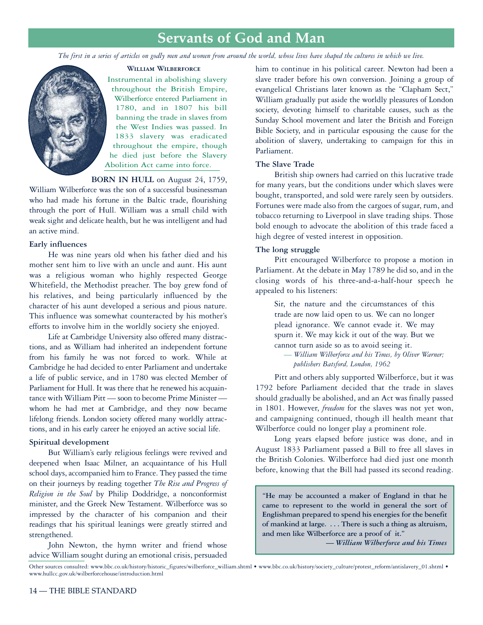# **Servants of God and Man**

*The first in a series of articles on godly men and women from around the world, whose lives have shaped the cultures in which we live.*

#### **William Wilberforce**



Instrumental in abolishing slavery throughout the British Empire, Wilberforce entered Parliament in 1780, and in 1807 his bill banning the trade in slaves from the West Indies was passed. In 1833 slavery was eradicated throughout the empire, though he died just before the Slavery Abolition Act came into force.

### **BORN IN HULL** on August 24, 1759,

William Wilberforce was the son of a successful businessman who had made his fortune in the Baltic trade, flourishing through the port of Hull. William was a small child with weak sight and delicate health, but he was intelligent and had an active mind.

### **Early influences**

He was nine years old when his father died and his mother sent him to live with an uncle and aunt. His aunt was a religious woman who highly respected George Whitefield, the Methodist preacher. The boy grew fond of his relatives, and being particularly influenced by the character of his aunt developed a serious and pious nature. This influence was somewhat counteracted by his mother's efforts to involve him in the worldly society she enjoyed.

Life at Cambridge University also offered many distractions, and as William had inherited an independent fortune from his family he was not forced to work. While at Cambridge he had decided to enter Parliament and undertake a life of public service, and in 1780 was elected Member of Parliament for Hull. It was there that he renewed his acquaintance with William Pitt — soon to become Prime Minister whom he had met at Cambridge, and they now became lifelong friends. London society offered many worldly attractions, and in his early career he enjoyed an active social life.

# **Spiritual development**

But William's early religious feelings were revived and deepened when Isaac Milner, an acquaintance of his Hull school days, accompanied him to France. They passed the time on their journeys by reading together *The Rise and Progress of Religion in the Soul* by Philip Doddridge, a nonconformist minister, and the Greek New Testament. Wilberforce was so impressed by the character of his companion and their readings that his spiritual leanings were greatly stirred and strengthened.

John Newton, the hymn writer and friend whose advice William sought during an emotional crisis, persuaded

him to continue in his political career. Newton had been a slave trader before his own conversion. Joining a group of evangelical Christians later known as the "Clapham Sect," William gradually put aside the worldly pleasures of London society, devoting himself to charitable causes, such as the Sunday School movement and later the British and Foreign Bible Society, and in particular espousing the cause for the abolition of slavery, undertaking to campaign for this in Parliament.

### **The Slave Trade**

British ship owners had carried on this lucrative trade for many years, but the conditions under which slaves were bought, transported, and sold were rarely seen by outsiders. Fortunes were made also from the cargoes of sugar, rum, and tobacco returning to Liverpool in slave trading ships. Those bold enough to advocate the abolition of this trade faced a high degree of vested interest in opposition.

#### **The long struggle**

Pitt encouraged Wilberforce to propose a motion in Parliament. At the debate in May 1789 he did so, and in the closing words of his three-and-a-half-hour speech he appealed to his listeners:

Sir, the nature and the circumstances of this trade are now laid open to us. We can no longer plead ignorance. We cannot evade it. We may spurn it. We may kick it out of the way. But we cannot turn aside so as to avoid seeing it.

*— William Wilberforce and his Times, by Oliver Warner; publishers Batsford, London, 1962*

Pitt and others ably supported Wilberforce, but it was 1792 before Parliament decided that the trade in slaves should gradually be abolished, and an Act was finally passed in 1801. However, *freedom* for the slaves was not yet won, and campaigning continued, though ill health meant that Wilberforce could no longer play a prominent role.

Long years elapsed before justice was done, and in August 1833 Parliament passed a Bill to free all slaves in the British Colonies. Wilberforce had died just one month before, knowing that the Bill had passed its second reading.

**"He may be accounted a maker of England in that he came to represent to the world in general the sort of Englishman prepared to spend his energies for the benefit of mankind at large. ... There is such a thing as altruism, and men like Wilberforce are a proof of it."**

*— William Wilberforce and his Times*

Other sources consulted: www.bbc.co.uk/history/historic\_figures/wilberforce\_william.shtml • www.bbc.co.uk/history/society\_culture/protest\_reform/antislavery\_01.shtml • www.hullcc.gov.uk/wilberforcehouse/introduction.html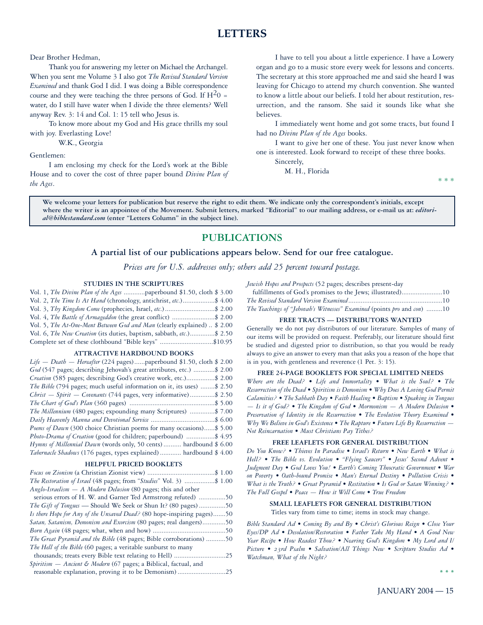# **LETTERS**

Dear Brother Hedman,

Thank you for answering my letter on Michael the Archangel. When you sent me Volume 3 I also got *The Revised Standard Version Examined* and thank God I did. I was doing a Bible correspondence course and they were teaching the three persons of God. If  $H<sup>2</sup>0$  = water, do I still have water when I divide the three elements? Well anyway Rev. 3: 14 and Col. 1: 15 tell who Jesus is.

To know more about my God and His grace thrills my soul with joy. Everlasting Love!

W.K., Georgia

Gentlemen:

I am enclosing my check for the Lord's work at the Bible House and to cover the cost of three paper bound *Divine Plan of the Ages*.

I have to tell you about a little experience. I have a Lowery organ and go to a music store every week for lessons and concerts. The secretary at this store approached me and said she heard I was leaving for Chicago to attend my church convention. She wanted to know a little about our beliefs. I told her about restitution, resurrection, and the ransom. She said it sounds like what she believes.

I immediately went home and got some tracts, but found I had no *Divine Plan of the Ages* books.

I want to give her one of these. You just never know when one is interested. Look forward to receipt of these three books.

Sincerely,

M. H., Florida

\*\*\*

**We welcome your letters for publication but reserve the right to edit them. We indicate only the correspondent's initials, except** where the writer is an appointee of the Movement. Submit letters, marked "Editorial" to our mailing address, or e-mail us at: *editorial@biblestandard.com* **(enter "Letters Column" in the subject line).**

# **PUBLICATIONS**

#### **A partial list of our publications appears below. Send for our free catalogue.**

*Prices are for U.S. addresses only; others add 25 percent toward postage.*

#### **STUDIES IN THE SCRIPTURES**

| Vol. 2, The Time Is At Hand (chronology, antichrist, etc.)\$ 4.00        |  |
|--------------------------------------------------------------------------|--|
| Vol. 3, Thy Kingdom Come (prophecies, Israel, etc.)\$ 2.00               |  |
| Vol. 4, The Battle of Armageddon (the great conflict) \$ 2.00            |  |
| Vol. 5, The At-One-Ment Between God and Man (clearly explained)  \$ 2.00 |  |
| Vol. 6, The New Creation (its duties, baptism, sabbath, etc.)\$ 2.50     |  |
| Complete set of these clothbound "Bible keys" \$10.95                    |  |

#### **ATTRACTIVE HARDBOUND BOOKS**

#### **HELPFUL PRICED BOOKLETS**

| <i>The Restoration of Israel</i> (48 pages; from " <i>Studies</i> " Vol. 3) \$ 1.00 |  |
|-------------------------------------------------------------------------------------|--|
| Anglo-Israelism - A Modern Delusion (80 pages; this and other                       |  |
| serious errors of H. W. and Garner Ted Armstrong refuted) 50                        |  |
| <i>The Gift of Tongues</i> — Should We Seek or Shun It? (80 pages)50                |  |
| Is there Hope for Any of the Unsaved Dead? (80 hope-inspiring pages)50              |  |
| Satan, Satanism, Demonism and Exorcism (80 pages; real dangers)50                   |  |
|                                                                                     |  |
| The Great Pyramid and the Bible (48 pages; Bible corroborations) 50                 |  |
| <i>The Hell of the Bible</i> (60 pages; a veritable sunburst to many                |  |
|                                                                                     |  |
| Spiritism - Ancient & Modern (67 pages; a Biblical, factual, and                    |  |
|                                                                                     |  |

*Jewish Hopes and Prospects* (52 pages; describes present-day

| fulfillments of God's promises to the Jews; illustrated)10              |  |
|-------------------------------------------------------------------------|--|
|                                                                         |  |
| The Teachings of "Jehovah's Witnesses" Examined (points pro and con) 10 |  |

#### **FREE TRACTS — DISTRIBUTORS WANTED**

Generally we do not pay distributors of our literature. Samples of many of our items will be provided on request. Preferably, our literature should first be studied and digested prior to distribution, so that you would be ready always to give an answer to every man that asks you a reason of the hope that is in you, with gentleness and reverence (1 Pet. 3: 15).

#### **FREE 24-PAGE BOOKLETS FOR SPECIAL LIMITED NEEDS**

*Where are the Dead? • Life and Immortality • What is the Soul? • The Resurrection of the Dead • Spiritism is Demonism • Why Does A Loving God Permit Calamities? • The Sabbath Day • Faith Healing • Baptism • Speaking in Tongues — Is it of God? • The Kingdom of God • Mormonism — A Modern Delusion • Preservation of Identity in the Resurrection • The Evolution Theory Examined • Why We Believe in God's Existence • The Rapture • Future Life By Resurrection — Not Reincarnation • Must Christians Pay Tithes?*

#### **FREE LEAFLETS FOR GENERAL DISTRIBUTION**

*Do You Know? • Thieves In Paradise • Israel's Return • New Earth • What is Hell? • The Bible vs. Evolution • "Flying Saucers" • Jesus' Second Advent • Judgment Day • God Loves You! • Earth's Coming Theocratic Government • War on Poverty • Oath-bound Promise • Man's Eternal Destiny • Pollution Crisis • What is the Truth? • Great Pyramid • Restitution • Is God or Satan Winning? • The Full Gospel • Peace — How it Will Come • True Freedom*

#### **SMALL LEAFLETS FOR GENERAL DISTRIBUTION**

Titles vary from time to time; items in stock may change.

*Bible Standard Ad • Coming By and By • Christ's Glorious Reign • Close Your Eyes/DP Ad • Desolation/Restoration • Father Take My Hand • A Good New Year Recipe • How Readest Thou? • Nearing God's Kingdom • My Lord and I/ Picture • 23rd Psalm • Salvation/All Things New • Scripture Studies Ad • Watchman, What of the Night?*

**\*\*\***